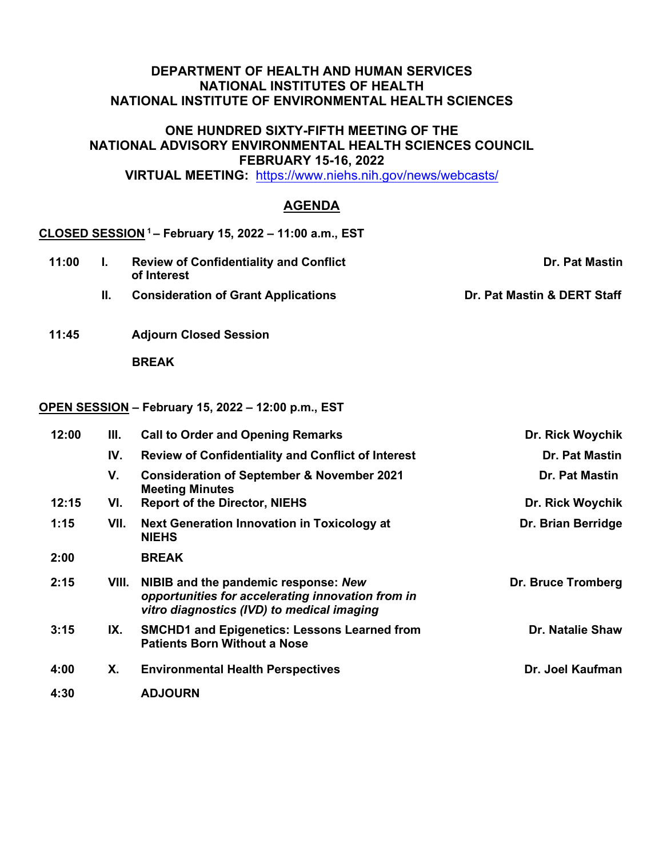## **DEPARTMENT OF HEALTH AND HUMAN SERVICES NATIONAL INSTITUTES OF HEALTH NATIONAL INSTITUTE OF ENVIRONMENTAL HEALTH SCIENCES**

### **ONE HUNDRED SIXTY-FIFTH MEETING OF THE NATIONAL ADVISORY ENVIRONMENTAL HEALTH SCIENCES COUNCIL FEBRUARY 15-16, 2022**

**VIRTUAL MEETING:** <https://www.niehs.nih.gov/news/webcasts/>

# **AGENDA**

# **CLOSED SESSION 1 – February 15, 2022 – 11:00 a.m., EST**

- **11:00 I. Review of Confidentiality and Conflict of Interest Dr. Pat Mastin II.** Consideration of Grant Applications **Dr. Pat Mastin** & DERT Staff
- **11:45 Adjourn Closed Session**

 **BREAK**

### **OPEN SESSION – February 15, 2022 – 12:00 p.m., EST**

| 12:00 | Ш.    | <b>Call to Order and Opening Remarks</b>                                                                                                | Dr. Rick Woychik        |
|-------|-------|-----------------------------------------------------------------------------------------------------------------------------------------|-------------------------|
|       | IV.   | <b>Review of Confidentiality and Conflict of Interest</b>                                                                               | <b>Dr. Pat Mastin</b>   |
|       | V.    | <b>Consideration of September &amp; November 2021</b><br><b>Meeting Minutes</b>                                                         | <b>Dr. Pat Mastin</b>   |
| 12:15 | VI.   | <b>Report of the Director, NIEHS</b>                                                                                                    | Dr. Rick Woychik        |
| 1:15  | VII.  | <b>Next Generation Innovation in Toxicology at</b><br><b>NIEHS</b>                                                                      | Dr. Brian Berridge      |
| 2:00  |       | <b>BREAK</b>                                                                                                                            |                         |
| 2:15  | VIII. | NIBIB and the pandemic response: New<br>opportunities for accelerating innovation from in<br>vitro diagnostics (IVD) to medical imaging | Dr. Bruce Tromberg      |
| 3:15  | IX.   | <b>SMCHD1 and Epigenetics: Lessons Learned from</b><br><b>Patients Born Without a Nose</b>                                              | <b>Dr. Natalie Shaw</b> |
| 4:00  | Х.    | <b>Environmental Health Perspectives</b>                                                                                                | Dr. Joel Kaufman        |
| 4:30  |       | <b>ADJOURN</b>                                                                                                                          |                         |